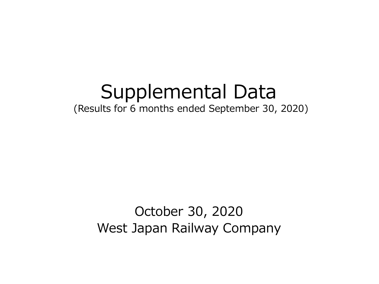# Supplemental Data

(Results for 6 months ended September 30, 2020)

October 30, 2020 West Japan Railway Company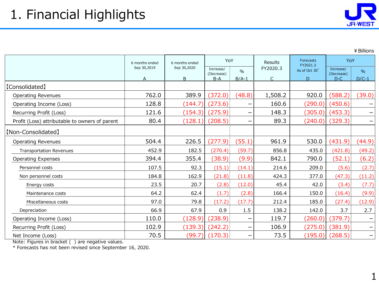¥Billions

|                                                | 6 months ended   | 6 months ended   | YoY                              |                          | Results       | Forecasts<br>FY2021.3          | YoY                              |                          |
|------------------------------------------------|------------------|------------------|----------------------------------|--------------------------|---------------|--------------------------------|----------------------------------|--------------------------|
|                                                | Sep 30,2019<br>A | Sep 30,2020<br>B | Increase/<br>(Decrease)<br>$B-A$ | $\frac{0}{0}$<br>$B/A-1$ | FY2020.3<br>C | As of Oct 30 <sup>*</sup><br>D | Increase/<br>(Decrease)<br>$D-C$ | %<br>$D/C-1$             |
| [Consolidated]                                 |                  |                  |                                  |                          |               |                                |                                  |                          |
| <b>Operating Revenues</b>                      | 762.0            | 389.9            | (372.0)                          | (48.8)                   | 1,508.2       | 920.0                          | (588.2)                          | (39.0)                   |
| Operating Income (Loss)                        | 128.8            | (144.7)          | (273.6)                          |                          | 160.6         | (290.0)                        | (450.6)                          |                          |
| Recurring Profit (Loss)                        | 121.6            | (154.3)          | (275.9)                          | —                        | 148.3         | (305.0)                        | (453.3)                          | $\overline{\phantom{m}}$ |
| Profit (Loss) attributable to owners of parent | 80.4             | (128.1)          | (208.5)                          |                          | 89.3          | (240.0)                        | (329.3)                          | $\qquad \qquad \qquad$   |
| [Non-Consolidated]                             |                  |                  |                                  |                          |               |                                |                                  |                          |
| <b>Operating Revenues</b>                      | 504.4            | 226.5            | (277.9)                          | (55.1)                   | 961.9         | 530.0                          | (431.9)                          | (44.9)                   |
| <b>Transportation Revenues</b>                 | 452.9            | 182.5            | (270.4)                          | (59.7)                   | 856.8         | 435.0                          | (421.8)                          | (49.2)                   |
| <b>Operating Expenses</b>                      | 394.4            | 355.4            | (38.9)                           | (9.9)                    | 842.1         | 790.0                          | (52.1)                           | (6.2)                    |
| Personnel costs                                | 107.5            | 92.3             | (15.1)                           | (14.1)                   | 214.6         | 209.0                          | (5.6)                            | (2.7)                    |
| Non personnel costs                            | 184.8            | 162.9            | (21.8)                           | (11.8)                   | 424.3         | 377.0                          | (47.3)                           | (11.2)                   |
| Energy costs                                   | 23.5             | 20.7             | (2.8)                            | (12.0)                   | 45.4          | 42.0                           | (3.4)                            | (7.7)                    |
| Maintenance costs                              | 64.2             | 62.4             | (1.7)                            | (2.8)                    | 166.4         | 150.0                          | (16.4)                           | (9.9)                    |
| Miscellaneous costs                            | 97.0             | 79.8             | (17.2)                           | (17.7)                   | 212.4         | 185.0                          | (27.4)                           | (12.9)                   |
| Depreciation                                   | 66.9             | 67.9             | 0.9                              | 1.5                      | 138.2         | 142.0                          | 3.7                              | 2.7                      |
| Operating Income (Loss)                        | 110.0            | (128.9)          | (238.9)                          | —                        | 119.7         | (260.0)                        | (379.7)                          | $\overline{\phantom{m}}$ |
| Recurring Profit (Loss)                        | 102.9            | (139.3)          | (242.2)                          |                          | 106.9         | (275.0)                        | (381.9)                          | $\qquad \qquad \qquad$   |
| Net Income (Loss)                              | 70.5             | (99.7)           | (170.3)                          |                          | 73.5          | (195.0)                        | (268.5)                          | $\overline{\phantom{m}}$ |

Note: Figures in bracket ( ) are negative values.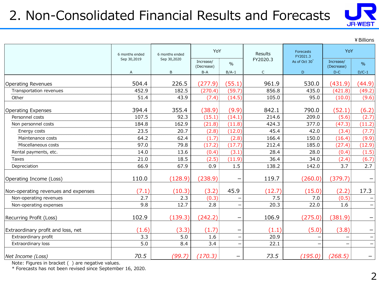# 2. Non-Consolidated Financial Results and Forecasts



|                                     |                |                |                         |                          |             |                           |                         | ¥ Billions               |
|-------------------------------------|----------------|----------------|-------------------------|--------------------------|-------------|---------------------------|-------------------------|--------------------------|
|                                     | 6 months ended | 6 months ended | YoY                     |                          | Results     | Forecasts<br>FY2021.3     | YoY                     |                          |
|                                     | Sep 30,2019    | Sep 30,2020    | Increase/<br>(Decrease) | $\frac{0}{0}$            | FY2020.3    | As of Oct 30 <sup>*</sup> | Increase/<br>(Decrease) | $\%$                     |
|                                     | A              | B              | $B-A$                   | $B/A-1$                  | $\mathsf C$ | D                         | $D-C$                   | $D/C-1$                  |
| <b>Operating Revenues</b>           | 504.4          | 226.5          | (277.9)                 | (55.1)                   | 961.9       | 530.0                     | (431.9)                 | (44.9)                   |
| Transportation revenues             | 452.9          | 182.5          | (270.4)                 | (59.7)                   | 856.8       | 435.0                     | (421.8)                 | (49.2)                   |
| Other                               | 51.4           | 43.9           | (7.4)                   | (14.5)                   | 105.0       | 95.0                      | (10.0)                  | (9.6)                    |
| <b>Operating Expenses</b>           | 394.4          | 355.4          | (38.9)                  | (9.9)                    | 842.1       | 790.0                     | (52.1)                  | (6.2)                    |
| Personnel costs                     | 107.5          | 92.3           | (15.1)                  | (14.1)                   | 214.6       | 209.0                     | (5.6)                   | (2.7)                    |
| Non personnel costs                 | 184.8          | 162.9          | (21.8)                  | (11.8)                   | 424.3       | 377.0                     | (47.3)                  | (11.2)                   |
| Energy costs                        | 23.5           | 20.7           | (2.8)                   | (12.0)                   | 45.4        | 42.0                      | (3.4)                   | (7.7)                    |
| Maintenance costs                   | 64.2           | 62.4           | (1.7)                   | (2.8)                    | 166.4       | 150.0                     | (16.4)                  | (9.9)                    |
| Miscellaneous costs                 | 97.0           | 79.8           | (17.2)                  | (17.7)                   | 212.4       | 185.0                     | (27.4)                  | (12.9)                   |
| Rental payments, etc.               | 14.0           | 13.6           | (0.4)                   | (3.1)                    | 28.4        | 28.0                      | (0.4)                   | (1.5)                    |
| <b>Taxes</b>                        | 21.0           | 18.5           | (2.5)                   | (11.9)                   | 36.4        | 34.0                      | (2.4)                   | (6.7)                    |
| Depreciation                        | 66.9           | 67.9           | 0.9                     | 1.5                      | 138.2       | 142.0                     | 3.7                     | 2.7                      |
| Operating Income (Loss)             | 110.0          | (128.9)        | (238.9)                 |                          | 119.7       | (260.0)                   | (379.7)                 |                          |
| Non-operating revenues and expenses | (7.1)          | (10.3)         | (3.2)                   | 45.9                     | (12.7)      | (15.0)                    | (2.2)                   | 17.3                     |
| Non-operating revenues              | 2.7            | 2.3            | (0.3)                   |                          | 7.5         | 7.0                       | (0.5)                   |                          |
| Non-operating expenses              | 9.8            | 12.7           | 2.8                     | $\overline{\phantom{m}}$ | 20.3        | 22.0                      | 1.6                     |                          |
| Recurring Profit (Loss)             | 102.9          | (139.3)        | (242.2)                 |                          | 106.9       | (275.0)                   | (381.9)                 | $\qquad \qquad -$        |
| Extraordinary profit and loss, net  | (1.6)          | (3.3)          | (1.7)                   |                          | (1.1)       | (5.0)                     | (3.8)                   |                          |
| Extraordinary profit                | 3.3            | 5.0            | 1.6                     |                          | 20.9        |                           |                         | $\overline{\phantom{m}}$ |
| Extraordinary loss                  | 5.0            | 8.4            | 3.4                     |                          | 22.1        |                           |                         | $\qquad \qquad -$        |
| Net Income (Loss)                   | 70.5           | (99.7)         | (170.3)                 |                          | 73.5        | (195.0)                   | (268.5)                 | —                        |

Note: Figures in bracket ( ) are negative values.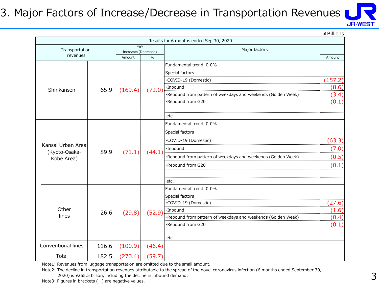## 3. Major Factors of Increase/Decrease in Transportation Revenues



¥Billions

|                             |                 |                            |               | Results for 6 months ended Sep 30, 2020                      |         |
|-----------------------------|-----------------|----------------------------|---------------|--------------------------------------------------------------|---------|
| Transportation              |                 | YoY<br>Increase/(Decrease) |               | Major factors                                                |         |
| revenues                    |                 | Amount                     | $\frac{0}{0}$ |                                                              | Amount  |
|                             |                 |                            |               | Fundamental trend 0.0%                                       |         |
|                             |                 |                            |               | Special factors                                              |         |
|                             |                 |                            |               | COVID-19 (Domestic)                                          | (157.2) |
| Shinkansen                  | 65.9<br>(169.4) | (72.0)                     | ·Inbound      | (8.6)                                                        |         |
|                             |                 |                            |               | ·Rebound from pattern of weekdays and weekends (Golden Week) | (3.4)   |
|                             |                 |                            |               | ·Rebound from G20                                            | (0.1)   |
|                             |                 |                            |               |                                                              |         |
|                             |                 |                            |               | etc.                                                         |         |
|                             |                 |                            |               | Fundamental trend 0.0%                                       |         |
|                             |                 |                            |               | Special factors                                              |         |
|                             |                 | COVID-19 (Domestic)        | (63.3)        |                                                              |         |
| Kansai Urban Area           | 89.9            |                            |               | ·Inbound                                                     | (7.0)   |
| (Kyoto-Osaka-<br>Kobe Area) |                 | (71.1)                     | (44.1)        | ·Rebound from pattern of weekdays and weekends (Golden Week) | (0.5)   |
|                             |                 |                            |               | Rebound from G20                                             | (0.1)   |
|                             |                 |                            |               |                                                              |         |
|                             |                 |                            |               | etc.                                                         |         |
|                             |                 |                            |               | Fundamental trend 0.0%                                       |         |
|                             |                 |                            |               | Special factors                                              |         |
|                             |                 |                            |               | ·COVID-19 (Domestic)                                         | (27.6)  |
| Other                       | 26.6            | (29.8)                     | (52.9)        | ·Inbound                                                     | (1.6)   |
| lines                       |                 |                            |               | ·Rebound from pattern of weekdays and weekends (Golden Week) | (0.4)   |
|                             |                 |                            |               | Rebound from G20                                             | (0.1)   |
|                             |                 |                            |               |                                                              |         |
|                             |                 |                            |               | etc.                                                         |         |
| Conventional lines          | 116.6           | (100.9)                    | (46.4)        |                                                              |         |
| Total                       | 182.5           | (270.4)                    | (59.7)        |                                                              |         |

Note1: Revenues from luggage transportation are omitted due to the small amount.

Note2: The decline in transportation revenues attributable to the spread of the novel coronavirus infection (6 months ended September 30,

2020) is ¥265.5 billion, including the decline in inbound demand.

Note3: Figures in brackets () are negative values.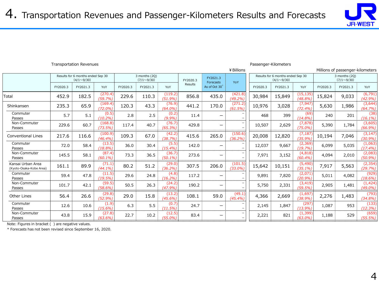

|                                              |          |                                                        |                      |          |                                    |                      |          |                       | ¥ Billions<br>Millions of passenger-kilometers |          |                                                        |                        |          |                                    |                        |
|----------------------------------------------|----------|--------------------------------------------------------|----------------------|----------|------------------------------------|----------------------|----------|-----------------------|------------------------------------------------|----------|--------------------------------------------------------|------------------------|----------|------------------------------------|------------------------|
|                                              |          | Results for 6 months ended Sep 30<br>$(4/1 \sim 9/30)$ |                      |          | 3 months (2Q)<br>$(7/1 \sim 9/30)$ |                      | FY2020.3 | FY2021.3<br>Forecasts | YoY                                            |          | Results for 6 months ended Sep 30<br>$(4/1 \sim 9/30)$ |                        |          | 3 months (20)<br>$(7/1 \sim 9/30)$ |                        |
|                                              | FY2020.3 | FY2021.3                                               | YoY                  | FY2020.3 | FY2021.3                           | YoY                  | Results  | As of Oct 30          |                                                | FY2020.3 | FY2021.3                                               | YoY                    | FY2020.3 | FY2021.3                           | YoY                    |
| Total                                        | 452.9    | 182.5                                                  | (270.4)<br>(59.7%)   | 229.6    | 110.3                              | (119.2)<br>(51.9%    | 856.8    | 435.0                 | (421.8)<br>(49.2%)                             | 30,984   | 15,849                                                 | (15, 135)<br>(48.8%    | 15,824   | 9,033                              | (6, 791)<br>$(42.9\%)$ |
| Shinkansen                                   | 235.3    | 65.9                                                   | (169.4)<br>(72.0%    | 120.3    | 43.3                               | (76.9)<br>(64.0%     | 441.2    | 170.0                 | (271.2)<br>(61.5%)                             | 10,976   | 3,028                                                  | (7, 947)<br>(72.4%     | 5,630    | 1,986                              | (3,644)<br>(64.7%)     |
| Commuter<br>Passes                           | 5.7      | 5.1                                                    | (0.5)<br>(10.2%)     | 2.8      | 2.5                                | (0.2)<br>(9.9%       | 11.4     | _                     | $\overline{\phantom{0}}$                       | 468      | 399                                                    | (69)<br>(14.8%         | 240      | 201                                | (38)<br>$(16.1\%)$     |
| Non-Commuter<br>Passes                       | 229.6    | 60.7                                                   | (168.8)<br>(73.5%)   | 117.4    | 40.7                               | (76.7)<br>(65.3%     | 429.8    | —                     |                                                | 10,507   | 2,629                                                  | (7, 878)<br>(75.0%     | 5,390    | 1,784                              | (3,605)<br>$(66.9\%)$  |
| <b>Conventional Lines</b>                    | 217.6    | 116.6                                                  | (100.9)<br>(46.4%)   | 109.3    | 67.0                               | (42.2)<br>(38.7%     | 415.6    | 265.0                 | (150.6)<br>(36.2%                              | 20,008   | 12,820                                                 | (7, 187)<br>(35.9%     | 10,194   | 7,046                              | (3, 147)<br>(30.9%)    |
| Commuter<br>Passes                           | 72.0     | 58.4                                                   | (13.5)<br>(18.8%)    | 36.0     | 30.4                               | (5.5)<br>(15.4%      | 142.0    | -                     |                                                | 12,037   | 9,667                                                  | (2, 369)<br>(19.7%     | 6,099    | 5,035                              | (1,063)<br>(17.4%)     |
| Non-Commuter<br>Passes                       | 145.5    | 58.1                                                   | (87.4)<br>$(60.1\%)$ | 73.3     | 36.5                               | (36.7)<br>$(50.1\%)$ | 273.6    | -                     |                                                | 7,971    | 3,152                                                  | (4,818)<br>(60.4%      | 4,094    | 2,010                              | (2,083)<br>(50.9%)     |
| Kansai Urban Area<br>(Kyoto-Osaka-Kobe Area) | 161.1    | 89.9                                                   | (71.1)<br>$(44.1\%)$ | 80.2     | 51.2                               | (29.0)<br>(36.2%)    | 307.5    | 206.0                 | (101.5)<br>(33.0%                              | 15,642   | 10,151                                                 | (5, 490)<br>(35.1%     | 7,917    | 5,563                              | (2, 354)<br>(29.7%)    |
| Commuter<br>Passes                           | 59.4     | 47.8                                                   | (11.5)<br>(19.5%)    | 29.6     | 24.8                               | (4.8)<br>$(16.2\%)$  | 117.2    |                       |                                                | 9,891    | 7,820                                                  | (2,071)<br>(20.9%      | 5,011    | 4,082                              | (929)<br>(18.6%)       |
| Non-Commuter<br>Passes                       | 101.7    | 42.1                                                   | (59.5)<br>(58.6%)    | 50.5     | 26.3                               | (24.2)<br>(47.9%     | 190.2    | —                     |                                                | 5,750    | 2,331                                                  | (3, 419)<br>(59.5%     | 2,905    | 1,481                              | (1, 424)<br>$(49.0\%)$ |
| Other Lines                                  | 56.4     | 26.6                                                   | (29.8)<br>(52.9%)    | 29.0     | 15.8                               | (13.2)<br>(45.6%     | 108.1    | 59.0                  | (49.1)<br>$(45.4\%)$                           | 4,366    | 2,669                                                  | (1,697)<br>(38.9%      | 2,276    | 1,483                              | (793)<br>(34.8%)       |
| Commuter<br>Passes                           | 12.6     | 10.6                                                   | (1.9)<br>(15.6%)     | 6.3      | 5.5                                | (0.7)<br>(11.5%)     | 24.7     | —                     |                                                | 2,145    | 1,847                                                  | (297)<br>(13.9%        | 1,087    | 953                                | (133)<br>(12.3%)       |
| Non-Commuter<br>Passes                       | 43.8     | 15.9                                                   | (27.8)<br>$(63.6\%)$ | 22.7     | 10.2                               | (12.5)<br>$(55.0\%)$ | 83.4     | —                     |                                                | 2,221    | 821                                                    | (1, 399)<br>$(63.0\%)$ | 1,188    | 529                                | (659)<br>(55.5%)       |

Transportation Revenues Passenger-Kilometers

Note: Figures in bracket ( ) are negative values.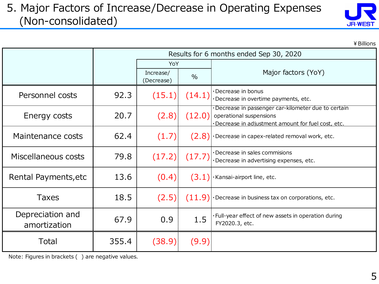## 5. Major Factors of Increase/Decrease in Operating Expenses (Non-consolidated)



|                                  |       |                         |               | ¥ Billions                                                                                                                         |
|----------------------------------|-------|-------------------------|---------------|------------------------------------------------------------------------------------------------------------------------------------|
|                                  |       |                         |               | Results for 6 months ended Sep 30, 2020                                                                                            |
|                                  |       | YoY                     |               |                                                                                                                                    |
|                                  |       | Increase/<br>(Decrease) | $\frac{0}{0}$ | Major factors (YoY)                                                                                                                |
| Personnel costs                  | 92.3  | (15.1)                  | (14.1)        | ·Decrease in bonus<br>·Decrease in overtime payments, etc.                                                                         |
| Energy costs                     | 20.7  | (2.8)                   | (12.0)        | Decrease in passenger car-kilometer due to certain<br>operational suspensions<br>Decrease in adjustment amount for fuel cost, etc. |
| Maintenance costs                | 62.4  | (1.7)                   |               | $(2.8)$ . Decrease in capex-related removal work, etc.                                                                             |
| Miscellaneous costs              | 79.8  | (17.2)                  | (17.7)        | ·Decrease in sales commisions<br>Decrease in advertising expenses, etc.                                                            |
| Rental Payments, etc             | 13.6  | (0.4)                   |               | $(3.1)$ Kansai-airport line, etc.                                                                                                  |
| Taxes                            | 18.5  | (2.5)                   |               | $(11.9)$ - Decrease in business tax on corporations, etc.                                                                          |
| Depreciation and<br>amortization | 67.9  | 0.9                     | 1.5           | ·Full-year effect of new assets in operation during<br>FY2020.3, etc.                                                              |
| Total                            | 355.4 | (38.9)                  | (9.9)         |                                                                                                                                    |

Note: Figures in brackets ( ) are negative values.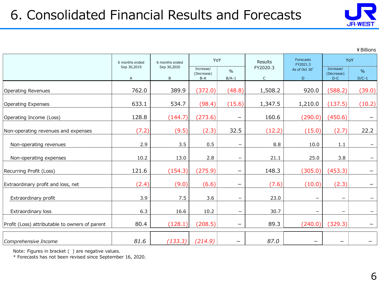

¥Billions

|                                                | 6 months ended   | 6 months ended   | YoY                              |                          | Results                  | Forecasts<br>FY2021.3    | YoY                              |                          |
|------------------------------------------------|------------------|------------------|----------------------------------|--------------------------|--------------------------|--------------------------|----------------------------------|--------------------------|
|                                                | Sep 30,2019<br>A | Sep 30,2020<br>B | Increase/<br>(Decrease)<br>$B-A$ | $\frac{0}{0}$<br>$B/A-1$ | FY2020.3<br>$\mathsf{C}$ | As of Oct 30<br>D        | Increase/<br>(Decrease)<br>$D-C$ | $\frac{0}{0}$<br>$D/C-1$ |
| <b>Operating Revenues</b>                      | 762.0            | 389.9            | (372.0)                          | (48.8)                   | 1,508.2                  | 920.0                    | (588.2)                          | (39.0)                   |
| <b>Operating Expenses</b>                      | 633.1            | 534.7            | (98.4)                           | (15.6)                   | 1,347.5                  | 1,210.0                  | (137.5)                          | (10.2)                   |
| Operating Income (Loss)                        | 128.8            | (144.7)          | (273.6)                          | $\qquad \qquad -$        | 160.6                    | (290.0)                  | (450.6)                          | $\overline{\phantom{m}}$ |
| Non-operating revenues and expenses            | (7.2)            | (9.5)            | (2.3)                            | 32.5                     | (12.2)                   | (15.0)                   | (2.7)                            | 22.2                     |
| Non-operating revenues                         | 2.9              | 3.5              | 0.5                              | —                        | 8.8                      | 10.0                     | $1.1\,$                          |                          |
| Non-operating expenses                         | 10.2             | 13.0             | 2.8                              | $\qquad \qquad -$        | 21.1                     | 25.0                     | 3.8                              | $\overline{\phantom{m}}$ |
| Recurring Profit (Loss)                        | 121.6            | (154.3)          | (275.9)                          | $\qquad \qquad -$        | 148.3                    | (305.0)                  | (453.3)                          |                          |
| Extraordinary profit and loss, net             | (2.4)            | (9.0)            | (6.6)                            | $\qquad \qquad -$        | (7.6)                    | (10.0)                   | (2.3)                            | -                        |
| Extraordinary profit                           | 3.9              | 7.5              | 3.6                              | $\qquad \qquad -$        | 23.0                     | $\overline{\phantom{m}}$ | $\overline{\phantom{m}}$         | $\qquad \qquad -$        |
| Extraordinary loss                             | 6.3              | 16.6             | 10.2                             | -                        | 30.7                     | $\overline{\phantom{m}}$ | -                                | $\qquad \qquad -$        |
| Profit (Loss) attributable to owners of parent | 80.4             | (128.1)          | (208.5)                          | -                        | 89.3                     | (240.0)                  | (329.3)                          |                          |
| Comprehensive Income                           | 81.6             | (133.3)          | (214.9)                          | -                        | 87.0                     | $\overline{\phantom{0}}$ | —                                |                          |

Note: Figures in bracket ( ) are negative values.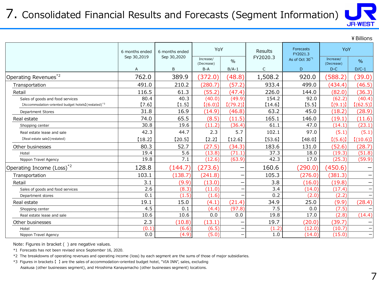# 7. Consolidated Financial Results and Forecasts (Segment Information)



|                                                                 |                |                |                         |               |              |                            |                         | ¥ Billions    |
|-----------------------------------------------------------------|----------------|----------------|-------------------------|---------------|--------------|----------------------------|-------------------------|---------------|
|                                                                 | 6 months ended | 6 months ended | YoY                     |               | Results      | Forecasts<br>FY2021.3      | YoY                     |               |
|                                                                 | Sep 30,2019    | Sep 30,2020    | Increase/<br>(Decrease) | $\frac{0}{0}$ | FY2020.3     | As of Oct 30 <sup>*1</sup> | Increase/<br>(Decrease) | $\frac{9}{6}$ |
|                                                                 | A              | B              | $B-A$                   | $B/A-1$       | $\mathsf{C}$ | D                          | $D-C$                   | $D/C-1$       |
| Operating Revenues* <sup>2</sup>                                | 762.0          | 389.9          | (372.0)                 | (48.8)        | 1,508.2      | 920.0                      | (588.2)                 | (39.0)        |
| Transportation                                                  | 491.0          | 210.2          | (280.7)                 | (57.2)        | 933.4        | 499.0                      | (434.4)                 | (46.5)        |
| Retail                                                          | 116.5          | 61.3           | (55.2)                  | (47.4)        | 226.0        | 144.0                      | (82.0)                  | (36.3)        |
| Sales of goods and food services                                | 80.4           | 40.3           | (40.0)                  | (49.9)        | 154.2        | 92.0                       | (62.2)                  | (40.4)        |
| [Accommodation-oriented budget hotels] (restated) <sup>*3</sup> | [7.6]          | [1.5]          | [(6.0)]                 | [(79.2)]      | $[14.6]$     | [5.5]                      | [(9.1)]                 | [(62.5)]      |
| <b>Department Stores</b>                                        | 31.8           | 16.9           | (14.9)                  | (46.8)        | 63.2         | 45.0                       | (18.2)                  | (28.9)        |
| Real estate                                                     | 74.0           | 65.5           | (8.5)                   | (11.5)        | 165.1        | 146.0                      | (19.1)                  | (11.6)        |
| Shopping center                                                 | 30.8           | 19.6           | (11.2)                  | (36.4)        | 61.1         | 47.0                       | (14.1)                  | (23.1)        |
| Real estate lease and sale                                      | 42.3           | 44.7           | 2.3                     | 5.7           | 102.1        | 97.0                       | (5.1)                   | (5.1)         |
| [Real estate sale] (restated)                                   | [18.2]         | [20.5]         | $[2.2]$                 | [12.6]        | [53.6]       | [48.0]                     | [(5.6)]                 | [(10.6)]      |
| Other businesses                                                | 80.3           | 52.7           | (27.5)                  | (34.3)        | 183.6        | 131.0                      | (52.6)                  | (28.7)        |
| Hotel                                                           | 19.4           | 5.6            | (13.8)                  | (71.1)        | 37.3         | 18.0                       | (19.3)                  | (51.8)        |
| Nippon Travel Agency                                            | 19.8           | 7.1            | (12.6)                  | (63.9)        | 42.3         | 17.0                       | (25.3)                  | (59.9)        |
| Operating Income (Loss) <sup>*2</sup>                           | 128.8          | (144.7)        | (273.6)                 |               | 160.6        | (290.0)                    | (450.6)                 |               |
| Transportation                                                  | 103.1          | (138.7)        | (241.8)                 |               | 105.3        | (276.0)                    | (381.3)                 |               |
| Retail                                                          | 3.1            | (9.9)          | (13.0)                  |               | 3.8          | (16.0)                     | (19.8)                  |               |
| Sales of goods and food services                                | 2.6            | (8.3)          | (11.0)                  |               | 3.4          | (14.0)                     | (17.4)                  |               |
| Department stores                                               | 0.1            | (1.5)          | (1.6)                   |               | 0.2          | (2.0)                      | (2.2)                   |               |
| Real estate                                                     | 19.1           | 15.0           | (4.1)                   | (21.4)        | 34.9         | 25.0                       | (9.9)                   | (28.4)        |
| Shopping center                                                 | 4.5            | 0.1            | (4.4)                   | (97.8)        | 7.5          | 0.0                        | (7.5)                   |               |
| Real estate lease and sale                                      | 10.6           | 10.6           | 0.0                     | 0.0           | 19.8         | 17.0                       | (2.8)                   | (14.4)        |
| Other businesses                                                | 2.3            | (10.8)         | (13.1)                  |               | 19.7         | (20.0)                     | (39.7)                  |               |
| Hotel                                                           | (0.1)          | (6.6)          | (6.5)                   |               | (1.2)        | (12.0)                     | (10.7)                  |               |
| Nippon Travel Agency                                            | 0.0            | (4.9)          | (5.0)                   | -             | 1.0          | (14.0)                     | (15.0)                  |               |

Note: Figures in bracket ( ) are negative values.

\*1 Forecasts has not been revised since September 16, 2020.

\*2 The breakdowns of operating revenues and operating income (loss) by each segment are the sums of those of major subsidiaries.

\*3 Figures in brackets 【 】 are the sales of accommodation-oriented budget hotel, "VIA INN", sales, excluding

Asakusa (other businesses segment), and Hiroshima Kanayamacho (other businesses segment) locations.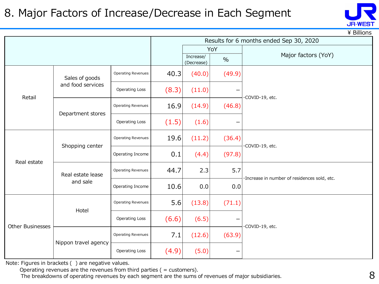## 8. Major Factors of Increase/Decrease in Each Segment



 $\angle$  Billions

|                         |                      |                           |       |                         |        | Results for 6 months ended Sep 30, 2020      |  |  |
|-------------------------|----------------------|---------------------------|-------|-------------------------|--------|----------------------------------------------|--|--|
|                         |                      |                           |       |                         | YoY    |                                              |  |  |
|                         |                      |                           |       | Increase/<br>(Decrease) | $\%$   | Major factors (YoY)                          |  |  |
|                         | Sales of goods       | <b>Operating Revenues</b> | 40.3  | (40.0)                  | (49.9) |                                              |  |  |
| Retail                  | and food services    | <b>Operating Loss</b>     | (8.3) | (11.0)                  |        | ·COVID-19, etc.                              |  |  |
|                         | Department stores    | <b>Operating Revenues</b> | 16.9  | (14.9)                  | (46.8) |                                              |  |  |
|                         |                      | <b>Operating Loss</b>     | (1.5) | (1.6)                   |        |                                              |  |  |
|                         | Shopping center      | Operating Revenues        | 19.6  | (11.2)                  | (36.4) | ·COVID-19, etc.                              |  |  |
| Real estate             |                      | Operating Income          | 0.1   | (4.4)                   | (97.8) |                                              |  |  |
|                         | Real estate lease    | <b>Operating Revenues</b> | 44.7  | 2.3                     | 5.7    | ·Increase in number of residences sold, etc. |  |  |
|                         | and sale             | Operating Income          | 10.6  | 0.0                     | 0.0    |                                              |  |  |
|                         | Hotel                | <b>Operating Revenues</b> | 5.6   | (13.8)                  | (71.1) |                                              |  |  |
| <b>Other Businesses</b> |                      | <b>Operating Loss</b>     | (6.6) | (6.5)                   |        | ·COVID-19, etc.                              |  |  |
|                         |                      | <b>Operating Revenues</b> | 7.1   | (12.6)                  | (63.9) |                                              |  |  |
|                         | Nippon travel agency | <b>Operating Loss</b>     | (4.9) | (5.0)                   |        |                                              |  |  |

Note: Figures in brackets ( ) are negative values.

Operating revenues are the revenues from third parties ( = customers).

The breakdowns of operating revenues by each segment are the sums of revenues of major subsidiaries.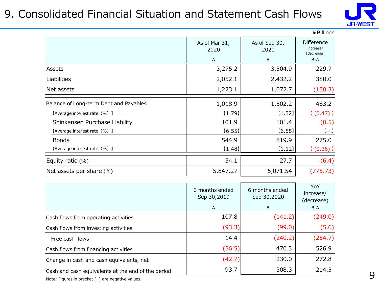## 9. Consolidated Financial Situation and Statement Cash Flows



|                                        |                       |                       | ¥ Billions                                   |
|----------------------------------------|-----------------------|-----------------------|----------------------------------------------|
|                                        | As of Mar 31,<br>2020 | As of Sep 30,<br>2020 | <b>Difference</b><br>increase/<br>(decrease) |
|                                        | A                     | B                     | $B-A$                                        |
| Assets                                 | 3,275.2               | 3,504.9               | 229.7                                        |
| Liabilities                            | 2,052.1               | 2,432.2               | 380.0                                        |
| Net assets                             | 1,223.1               | 1,072.7               | (150.3)                                      |
| Balance of Long-term Debt and Payables | 1,018.9               | 1,502.2               | 483.2                                        |
| [Average interest rate (%) ]           | [1.79]                | [1.32]                | $(0.47)$ ]                                   |
| Shinkansen Purchase Liability          | 101.9                 | 101.4                 | (0.5)                                        |
| [Average interest rate (%) ]           | [6.55]                | [6.55]                | $[-]$                                        |
| <b>Bonds</b>                           | 544.9                 | 819.9                 | 275.0                                        |
| [Average interest rate (%) ]           | [1.48]                | $[1.12]$              | $(0.36)$ ]                                   |
| Equity ratio $(\%)$                    | 34.1                  | 27.7                  | (6.4)                                        |
| Net assets per share $(4)$             | 5,847.27              | 5,071.54              | (775.73)                                     |

|                                                    | 6 months ended<br>Sep 30,2019<br>A | 6 months ended<br>Sep 30,2020<br>B | YoY<br>increase/<br>(decrease)<br>B-A |
|----------------------------------------------------|------------------------------------|------------------------------------|---------------------------------------|
| Cash flows from operating activities               | 107.8                              | (141.2)                            | (249.0)                               |
| Cash flows from investing activities               | (93.3)                             | (99.0)                             | (5.6)                                 |
| Free cash flows                                    | 14.4                               | (240.2)                            | (254.7)                               |
| Cash flows from financing activities               | (56.5)                             | 470.3                              | 526.9                                 |
| Change in cash and cash equivalents, net           | (42.7)                             | 230.0                              | 272.8                                 |
| Cash and cash equivalents at the end of the period | 93.7                               | 308.3                              | 214.5                                 |

Note: Figures in bracket ( ) are negative values.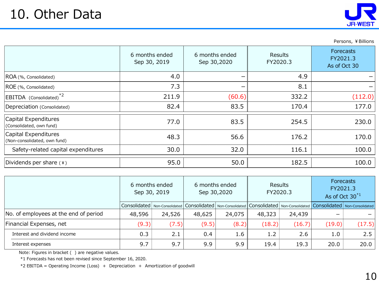

Persons, ¥ Billions

|                                                      | 6 months ended<br>Sep 30, 2019 | 6 months ended<br>Sep 30,2020 | Results<br>FY2020.3 | <b>Forecasts</b><br>FY2021.3<br>As of Oct 30 |
|------------------------------------------------------|--------------------------------|-------------------------------|---------------------|----------------------------------------------|
| ROA (%, Consolidated)                                | 4.0                            | –                             | 4.9                 |                                              |
| ROE (%, Consolidated)                                | 7.3                            | -                             | 8.1                 |                                              |
| EBITDA (Consolidated) <sup>*2</sup>                  | 211.9                          | (60.6)                        | 332.2               | (112.0)                                      |
| Depreciation (Consolidated)                          | 82.4                           | 83.5                          | 170.4               | 177.0                                        |
| Capital Expenditures<br>(Consolidated, own fund)     | 77.0                           | 83.5                          | 254.5               | 230.0                                        |
| Capital Expenditures<br>(Non-consolidated, own fund) | 48.3                           | 56.6                          | 176.2               | 170.0                                        |
| Safety-related capital expenditures                  | 30.0                           | 32.0                          | 116.1               | 100.0                                        |
| Dividends per share $(*)$                            | 95.0                           | 50.0                          | 182.5               | 100.0                                        |

|                                       | 6 months ended<br>Sep 30, 2019 |        |        | 6 months ended<br>Sep 30,2020                                                                                                                                                                                                  | Results<br>FY2020.3 |        | Forecasts<br>FY2021.3<br>As of Oct $30^{*1}$ |        |
|---------------------------------------|--------------------------------|--------|--------|--------------------------------------------------------------------------------------------------------------------------------------------------------------------------------------------------------------------------------|---------------------|--------|----------------------------------------------|--------|
|                                       |                                |        |        | Consolidated   Non-Consolidated   Consolidated   Non-Consolidated   Consolidated   Non-Consolidated   Consolidated   Non-Consolidated   Non-Consolidated   Non-Consolidated   Non-Consolidated   Non-Consolidated   Non-Consol |                     |        |                                              |        |
| No. of employees at the end of period | 48,596                         | 24,526 | 48,625 | 24,075                                                                                                                                                                                                                         | 48,323              | 24,439 |                                              |        |
| Financial Expenses, net               | (9.3)                          | (7.5)  | (9.5)  | (8.2)                                                                                                                                                                                                                          | (18.2)              | (16.7) | (19.0)                                       | (17.5) |
| Interest and dividend income          | 0.3                            | 2.1    | 0.4    | 1.6                                                                                                                                                                                                                            | 1.2                 | 2.6    | 1.0                                          | 2.5    |
| Interest expenses                     | 9.7                            | 9.7    | 9.9    | 9.9                                                                                                                                                                                                                            | 19.4                | 19.3   | 20.0                                         | 20.0   |

Note: Figures in bracket ( ) are negative values.

\*1 Forecasts has not been revised since September 16, 2020.

\*2 EBITDA = Operating Income (Loss) + Depreciation + Amortization of goodwill